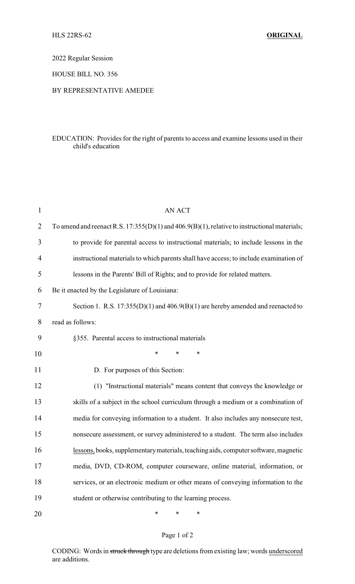2022 Regular Session

HOUSE BILL NO. 356

## BY REPRESENTATIVE AMEDEE

## EDUCATION: Provides for the right of parents to access and examine lessons used in their child's education

| $\mathbf{1}$   | <b>AN ACT</b>                                                                                     |
|----------------|---------------------------------------------------------------------------------------------------|
| $\overline{2}$ | To amend and reenact R.S. $17:355(D)(1)$ and $406.9(B)(1)$ , relative to instructional materials; |
| 3              | to provide for parental access to instructional materials; to include lessons in the              |
| 4              | instructional materials to which parents shall have access; to include examination of             |
| 5              | lessons in the Parents' Bill of Rights; and to provide for related matters.                       |
| 6              | Be it enacted by the Legislature of Louisiana:                                                    |
| 7              | Section 1. R.S. $17:355(D)(1)$ and $406.9(B)(1)$ are hereby amended and reenacted to              |
| 8              | read as follows:                                                                                  |
| 9              | §355. Parental access to instructional materials                                                  |
| 10             | *<br>*<br>$\ast$                                                                                  |
| 11             | D. For purposes of this Section:                                                                  |
| 12             | (1) "Instructional materials" means content that conveys the knowledge or                         |
| 13             | skills of a subject in the school curriculum through a medium or a combination of                 |
| 14             | media for conveying information to a student. It also includes any nonsecure test,                |
| 15             | nonsecure assessment, or survey administered to a student. The term also includes                 |
| 16             | lessons, books, supplementary materials, teaching aids, computer software, magnetic               |
| 17             | media, DVD, CD-ROM, computer courseware, online material, information, or                         |
| 18             | services, or an electronic medium or other means of conveying information to the                  |
| 19             | student or otherwise contributing to the learning process.                                        |
| 20             | $\ast$<br>*<br>*                                                                                  |

## Page 1 of 2

CODING: Words in struck through type are deletions from existing law; words underscored are additions.